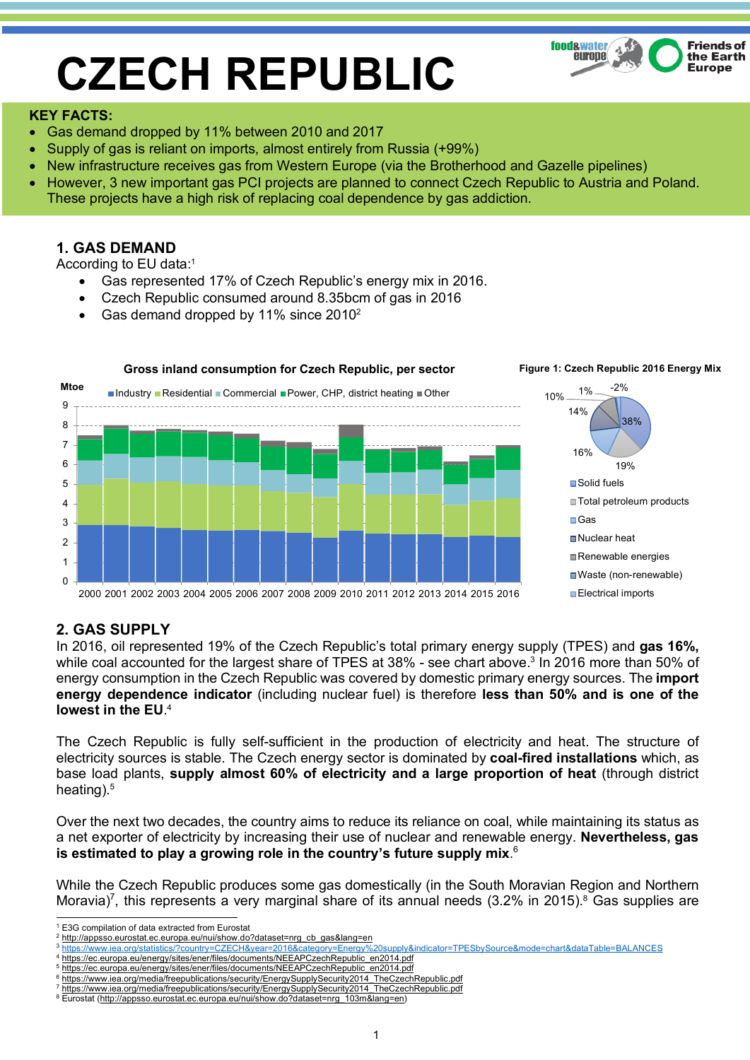# **CZECH REPUBLIC**



#### **KEY FACTS:**

- Gas demand dropped by 11% between 2010 and 2017
- Supply of gas is reliant on imports, almost entirely from Russia (+99%)
- New infrastructure receives gas from Western Europe (via the Brotherhood and Gazelle pipelines)
- However, 3 new important gas PCI projects are planned to connect Czech Republic to Austria and Poland. These projects have a high risk of replacing coal dependence by gas addiction.

## **1. GAS DEMAND**

According to EU data:1

- Gas represented 17% of Czech Republic's energy mix in 2016.
- Czech Republic consumed around 8.35bcm of gas in 2016
- Gas demand dropped by 11% since 20102



## **2. GAS SUPPLY**

In 2016, oil represented 19% of the Czech Republic's total primary energy supply (TPES) and **gas 16%,** while coal accounted for the largest share of TPES at 38% - see chart above.<sup>3</sup> In 2016 more than 50% of energy consumption in the Czech Republic was covered by domestic primary energy sources. The **import energy dependence indicator** (including nuclear fuel) is therefore **less than 50% and is one of the lowest in the EU**. 4

The Czech Republic is fully self-sufficient in the production of electricity and heat. The structure of electricity sources is stable. The Czech energy sector is dominated by **coal-fired installations** which, as base load plants, **supply almost 60% of electricity and a large proportion of heat** (through district heating).<sup>5</sup>

Over the next two decades, the country aims to reduce its reliance on coal, while maintaining its status as a net exporter of electricity by increasing their use of nuclear and renewable energy. **Nevertheless, gas is estimated to play a growing role in the country's future supply mix**. 6

While the Czech Republic produces some gas domestically (in the South Moravian Region and Northern Moravia)<sup>7</sup>, this represents a very marginal share of its annual needs (3.2% in 2015).<sup>8</sup> Gas supplies are

 <sup>1</sup> E3G compilation of data extracted from Eurostat

<sup>2</sup> http://appsso.eurostat.ec.europa.eu/nui/show.do?dataset=nrg\_cb\_gas&lang=en

<sup>3</sup> https://www.iea.org/statistics/?country=CZECH&year=2016&category=Energy%20supply&indicator=TPESbySource&mode=chart&dataTable=BALANCES

<sup>4</sup> https://ec.europa.eu/energy/sites/ener/files/documents/NEEAPCzechRepublic\_en2014.pdf <sup>5</sup> https://ec.europa.eu/energy/sites/ener/files/documents/NEEAPCzechRepublic\_en2014.pdf

<sup>6</sup> https://www.iea.org/media/freepublications/security/EnergySupplySecurity2014\_TheCzechRepublic.pdf

https://www.iea.org/media/freepublications/security/EnergySupplySecurity2014\_TheCzechRepublic.pdf

<sup>8</sup> Eurostat (http://appsso.eurostat.ec.europa.eu/nui/show.do?dataset=nrg\_103m&lang=en)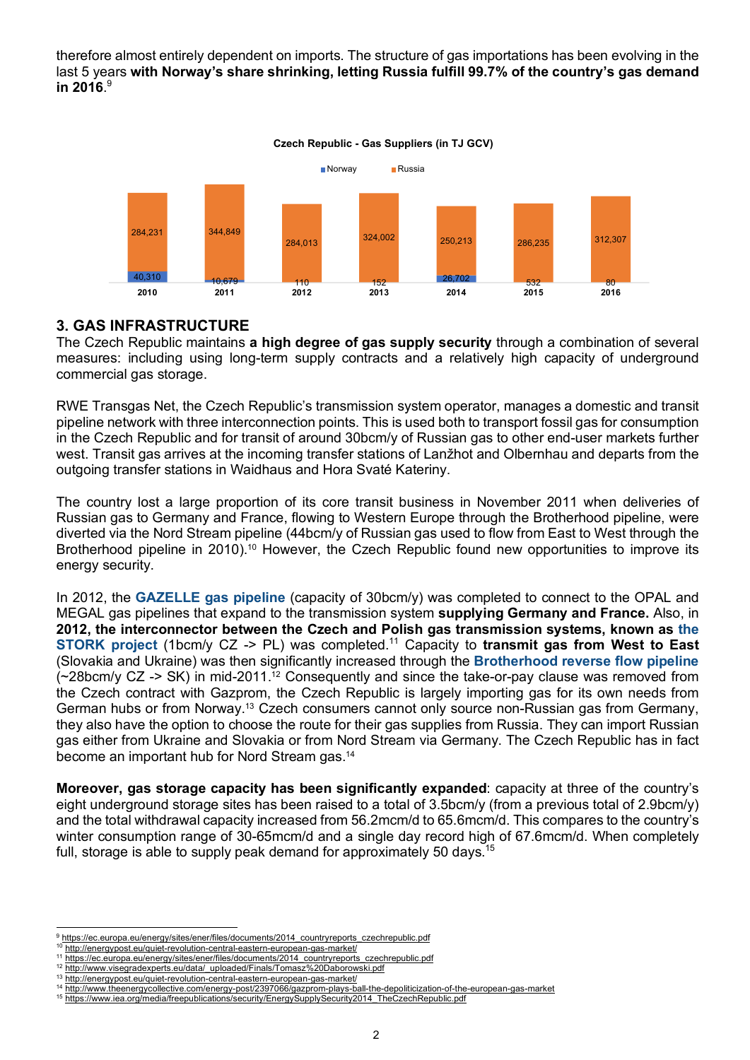therefore almost entirely dependent on imports. The structure of gas importations has been evolving in the last 5 years **with Norway's share shrinking, letting Russia fulfill 99.7% of the country's gas demand in 2016**. 9



**Czech Republic - Gas Suppliers (in TJ GCV)**

## **3. GAS INFRASTRUCTURE**

The Czech Republic maintains **a high degree of gas supply security** through a combination of several measures: including using long-term supply contracts and a relatively high capacity of underground commercial gas storage.

RWE Transgas Net, the Czech Republic's transmission system operator, manages a domestic and transit pipeline network with three interconnection points. This is used both to transport fossil gas for consumption in the Czech Republic and for transit of around 30bcm/y of Russian gas to other end-user markets further west. Transit gas arrives at the incoming transfer stations of Lanžhot and Olbernhau and departs from the outgoing transfer stations in Waidhaus and Hora Svaté Kateriny.

The country lost a large proportion of its core transit business in November 2011 when deliveries of Russian gas to Germany and France, flowing to Western Europe through the Brotherhood pipeline, were diverted via the Nord Stream pipeline (44bcm/y of Russian gas used to flow from East to West through the Brotherhood pipeline in 2010).<sup>10</sup> However, the Czech Republic found new opportunities to improve its energy security.

In 2012, the **GAZELLE gas pipeline** (capacity of 30bcm/y) was completed to connect to the OPAL and MEGAL gas pipelines that expand to the transmission system **supplying Germany and France.** Also, in **2012, the interconnector between the Czech and Polish gas transmission systems, known as the STORK project (1bcm/y CZ -> PL) was completed.<sup>11</sup> Capacity to transmit gas from West to East** (Slovakia and Ukraine) was then significantly increased through the **Brotherhood reverse flow pipeline**  (~28bcm/y CZ -> SK) in mid-2011.12 Consequently and since the take-or-pay clause was removed from the Czech contract with Gazprom, the Czech Republic is largely importing gas for its own needs from German hubs or from Norway.13 Czech consumers cannot only source non-Russian gas from Germany, they also have the option to choose the route for their gas supplies from Russia. They can import Russian gas either from Ukraine and Slovakia or from Nord Stream via Germany. The Czech Republic has in fact become an important hub for Nord Stream gas.14

**Moreover, gas storage capacity has been significantly expanded**: capacity at three of the country's eight underground storage sites has been raised to a total of 3.5bcm/y (from a previous total of 2.9bcm/y) and the total withdrawal capacity increased from 56.2mcm/d to 65.6mcm/d. This compares to the country's winter consumption range of 30-65mcm/d and a single day record high of 67.6mcm/d. When completely full, storage is able to supply peak demand for approximately 50 days.<sup>15</sup>

<sup>&</sup>lt;sup>9</sup> https://ec.europa.eu/energy/sites/ener/files/documents/2014\_countryreports\_czechrepublic.pdf

<sup>10</sup> http://energypost.eu/quiet-revolution-central-eastern-european-gas-market/

<sup>11</sup> https://ec.europa.eu/energy/sites/ener/files/documents/2014\_countryreports\_czechrepublic.pdf <sup>12</sup> http://www.visegradexperts.eu/data/\_uploaded/Finals/Tomasz%20Daborowski.pdf

<sup>13</sup> http://energypost.eu/quiet-revolution-central-eastern-european-gas-market/

<sup>14</sup> http://www.theenergycollective.com/energy-post/2397066/gazprom-plays-ball-the-depoliticization-of-the-european-gas-market

<sup>15</sup> https://www.iea.org/media/freepublications/security/EnergySupplySecurity2014\_TheCzechRepublic.pdf